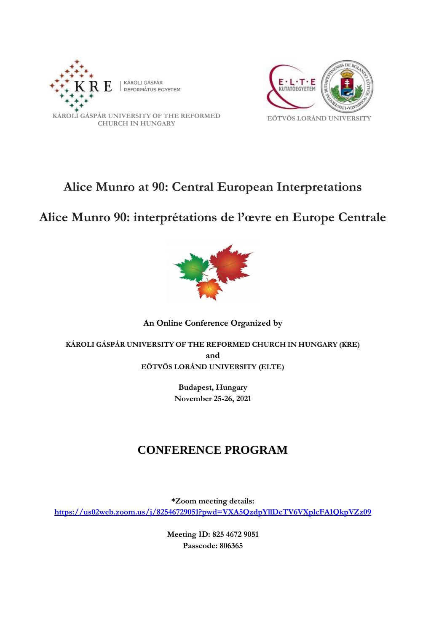



# **Alice Munro at 90: Central European Interpretations**

# **Alice Munro 90: interprétations de l'œvre en Europe Centrale**



### **An Online Conference Organized by**

### **KÁROLI GÁSPÁR UNIVERSITY OF THE REFORMED CHURCH IN HUNGARY (KRE) and EÖTVÖS LORÁND UNIVERSITY (ELTE)**

**Budapest, Hungary November 25-26, 2021**

## **CONFERENCE PROGRAM**

**\*Zoom meeting details: <https://us02web.zoom.us/j/82546729051?pwd=VXA5QzdpYllDcTV6VXplcFA1QkpVZz09>**

> **Meeting ID: 825 4672 9051 Passcode: 806365**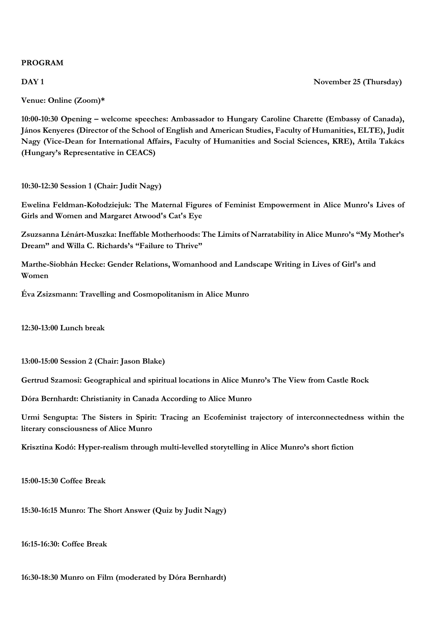#### **PROGRAM**

#### **DAY 1** November 25 (Thursday)

**Venue: Online (Zoom)\***

**10:00-10:30 Opening – welcome speeches: Ambassador to Hungary Caroline Charette (Embassy of Canada), János Kenyeres (Director of the School of English and American Studies, Faculty of Humanities, ELTE), Judit Nagy (Vice-Dean for International Affairs, Faculty of Humanities and Social Sciences, KRE), Attila Takács (Hungary's Representative in CEACS)**

**10:30-12:30 Session 1 (Chair: Judit Nagy)**

**Ewelina Feldman-Kołodziejuk: The Maternal Figures of Feminist Empowerment in Alice Munro's Lives of Girls and Women and Margaret Atwood's Cat's Eye**

**Zsuzsanna Lénárt-Muszka: Ineffable Motherhoods: The Limits of Narratability in Alice Munro's "My Mother's Dream" and Willa C. Richards's "Failure to Thrive"**

**Marthe-Siobhán Hecke: Gender Relations, Womanhood and Landscape Writing in Lives of Girl's and Women**

**Éva Zsizsmann: Travelling and Cosmopolitanism in Alice Munro**

**12:30-13:00 Lunch break**

**13:00-15:00 Session 2 (Chair: Jason Blake)**

**Gertrud Szamosi: Geographical and spiritual locations in Alice Munro's The View from Castle Rock**

**Dóra Bernhardt: Christianity in Canada According to Alice Munro**

**Urmi Sengupta: The Sisters in Spirit: Tracing an Ecofeminist trajectory of interconnectedness within the literary consciousness of Alice Munro**

**Krisztina Kodó: Hyper-realism through multi-levelled storytelling in Alice Munro's short fiction**

**15:00-15:30 Coffee Break**

**15:30-16:15 Munro: The Short Answer (Quiz by Judit Nagy)** 

**16:15-16:30: Coffee Break**

**16:30-18:30 Munro on Film (moderated by Dóra Bernhardt)**